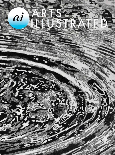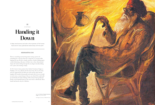

A deep reminiscence and ode to the mysteries of the human hand and its many splendored relationship with the earth

## SIDDHARTHA DAS

## Handing it Down

There is something mesmerising about seeing a person do something he or she has done for a long time. A coconut seller lopping the top off with a simple machete; a binder folding paper; a tailor fashioning a flat piece of fabric into a three-dimensional shape; the hands wafting through the air, fingers lyrically sliding over a piece and creating a shape.

At 19, I went to learn pottery from Sardar Gurcharan Singh, or Daddyji, as he was called by all who knew him. He was 92, frail, and was supported by his little wiry stick and his deep throaty laughter. He would sit bemusedly and watch all of us as we would try and coerce a truant lump of clay on our wheel. He would walk up tentatively, his hands shaking a little and put them gently but firmly on the lopsided lump of clay and centre it effortlessly. These hands had known clay for a lifetime.



Jatin Das, **Portrait of Sardar Gurcharan Singh**, Oil on Canvas, 1994.

All Images Courtesy of Siddhartha Das.